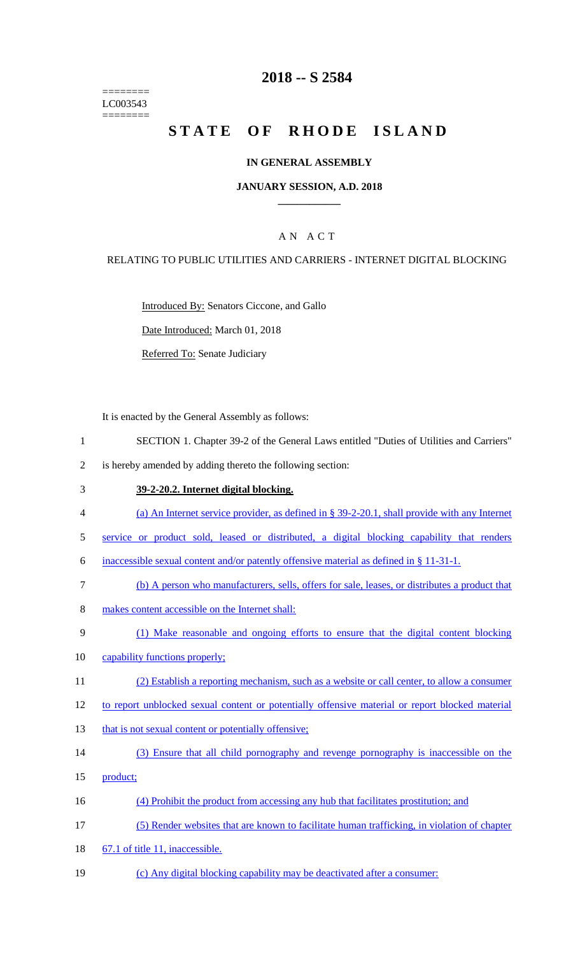======== LC003543 ========

### **2018 -- S 2584**

# STATE OF RHODE ISLAND

#### **IN GENERAL ASSEMBLY**

#### **JANUARY SESSION, A.D. 2018 \_\_\_\_\_\_\_\_\_\_\_\_**

### A N A C T

#### RELATING TO PUBLIC UTILITIES AND CARRIERS - INTERNET DIGITAL BLOCKING

Introduced By: Senators Ciccone, and Gallo

Date Introduced: March 01, 2018

Referred To: Senate Judiciary

It is enacted by the General Assembly as follows:

- 1 SECTION 1. Chapter 39-2 of the General Laws entitled "Duties of Utilities and Carriers"
- 2 is hereby amended by adding thereto the following section:

### 3 **39-2-20.2. Internet digital blocking.**

- 4 (a) An Internet service provider, as defined in § 39-2-20.1, shall provide with any Internet
- 5 service or product sold, leased or distributed, a digital blocking capability that renders
- 6 inaccessible sexual content and/or patently offensive material as defined in § 11-31-1.
- 7 (b) A person who manufacturers, sells, offers for sale, leases, or distributes a product that
- 8 makes content accessible on the Internet shall:
- 9 (1) Make reasonable and ongoing efforts to ensure that the digital content blocking
- 10 capability functions properly;
- 11 (2) Establish a reporting mechanism, such as a website or call center, to allow a consumer
- 12 to report unblocked sexual content or potentially offensive material or report blocked material
- 13 that is not sexual content or potentially offensive;
- 14 (3) Ensure that all child pornography and revenge pornography is inaccessible on the
- 15 product;
- 16 (4) Prohibit the product from accessing any hub that facilitates prostitution; and
- 17 (5) Render websites that are known to facilitate human trafficking, in violation of chapter
- 18 67.1 of title 11, inaccessible.
- 19 (c) Any digital blocking capability may be deactivated after a consumer: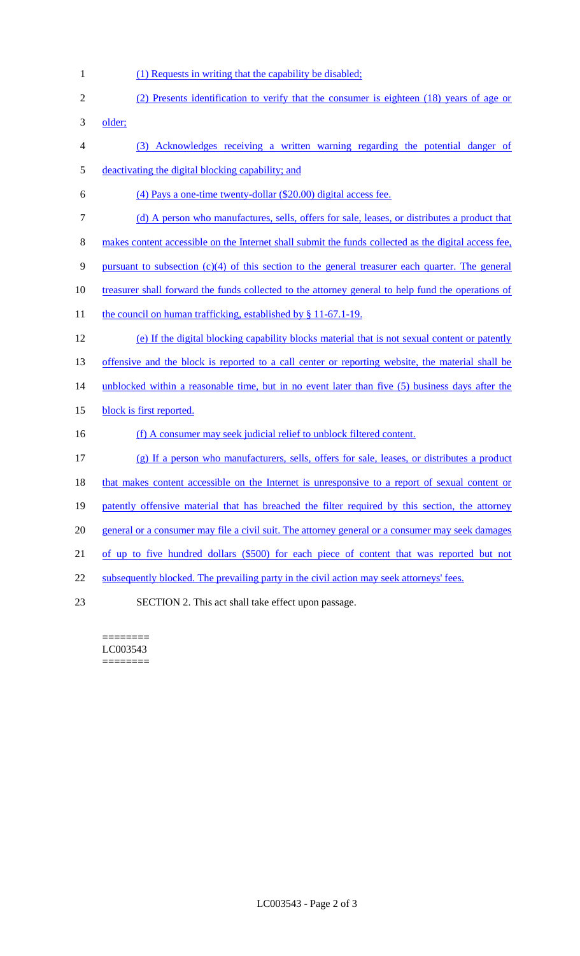- 1 (1) Requests in writing that the capability be disabled;
- 2 (2) Presents identification to verify that the consumer is eighteen (18) years of age or 3 older; 4 (3) Acknowledges receiving a written warning regarding the potential danger of 5 deactivating the digital blocking capability; and 6 (4) Pays a one-time twenty-dollar (\$20.00) digital access fee. 7 (d) A person who manufactures, sells, offers for sale, leases, or distributes a product that 8 makes content accessible on the Internet shall submit the funds collected as the digital access fee, 9 pursuant to subsection (c)(4) of this section to the general treasurer each quarter. The general 10 treasurer shall forward the funds collected to the attorney general to help fund the operations of 11 the council on human trafficking, established by § 11-67.1-19. 12 (e) If the digital blocking capability blocks material that is not sexual content or patently 13 offensive and the block is reported to a call center or reporting website, the material shall be 14 unblocked within a reasonable time, but in no event later than five (5) business days after the 15 block is first reported. 16 (f) A consumer may seek judicial relief to unblock filtered content. 17 (g) If a person who manufacturers, sells, offers for sale, leases, or distributes a product 18 that makes content accessible on the Internet is unresponsive to a report of sexual content or 19 patently offensive material that has breached the filter required by this section, the attorney 20 general or a consumer may file a civil suit. The attorney general or a consumer may seek damages 21 of up to five hundred dollars (\$500) for each piece of content that was reported but not 22 subsequently blocked. The prevailing party in the civil action may seek attorneys' fees. 23 SECTION 2. This act shall take effect upon passage.

======== LC003543 ========